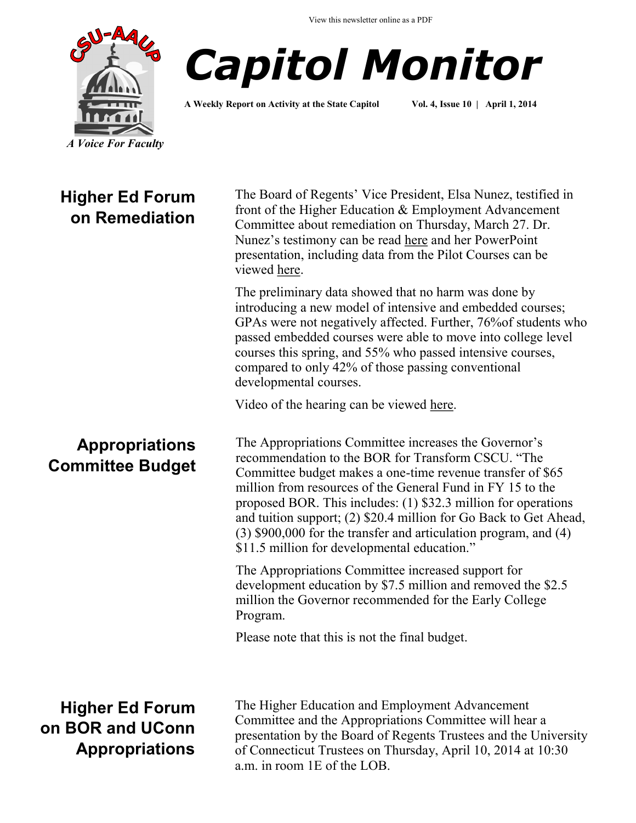



**A Weekly Report on Activity at the State Capitol Vol. 4, Issue 10 | April 1, 2014**

## **Higher Ed Forum on Remediation**

**Appropriations** 

**Committee Budget**

The Board of Regents' Vice President, Elsa Nunez, testified in front of the Higher Education & Employment Advancement Committee about remediation on Thursday, March 27. Dr. Nunez's testimony can be read [here](http://www.cga.ct.gov/2014/HEDdata/OD/Dr%20Elsa%20%20N%C3%BA%C3%B1ez%20remediation%20testimony%20March%2027%202014.pdf) and her PowerPoint presentation, including data from the Pilot Courses can be viewed [here.](http://www.cga.ct.gov/2014/HEDdata/OD/Dr%20Elsa%20Nunez%20PowerPoint%20remediation%20presentation%20March%2027%202014.pdf) 

The preliminary data showed that no harm was done by introducing a new model of intensive and embedded courses; GPAs were not negatively affected. Further, 76%of students who passed embedded courses were able to move into college level courses this spring, and 55% who passed intensive courses, compared to only 42% of those passing conventional developmental courses.

Video of the hearing can be viewed here.

The Appropriations Committee increases the Governor's recommendation to the BOR for Transform CSCU. "The Committee budget makes a one-time revenue transfer of \$65 million from resources of the General Fund in FY 15 to the proposed BOR. This includes: (1) \$32.3 million for operations and tuition support; (2) \$20.4 million for Go Back to Get Ahead, (3) \$900,000 for the transfer and articulation program, and (4) \$11.5 million for developmental education."

The Appropriations Committee increased support for development education by \$7.5 million and removed the \$2.5 million the Governor recommended for the Early College Program.

Please note that this is not the final budget.

**Higher Ed Forum on BOR and UConn Appropriations**

The Higher Education and Employment Advancement Committee and the Appropriations Committee will hear a presentation by the Board of Regents Trustees and the University of Connecticut Trustees on Thursday, April 10, 2014 at 10:30 a.m. in room 1E of the LOB.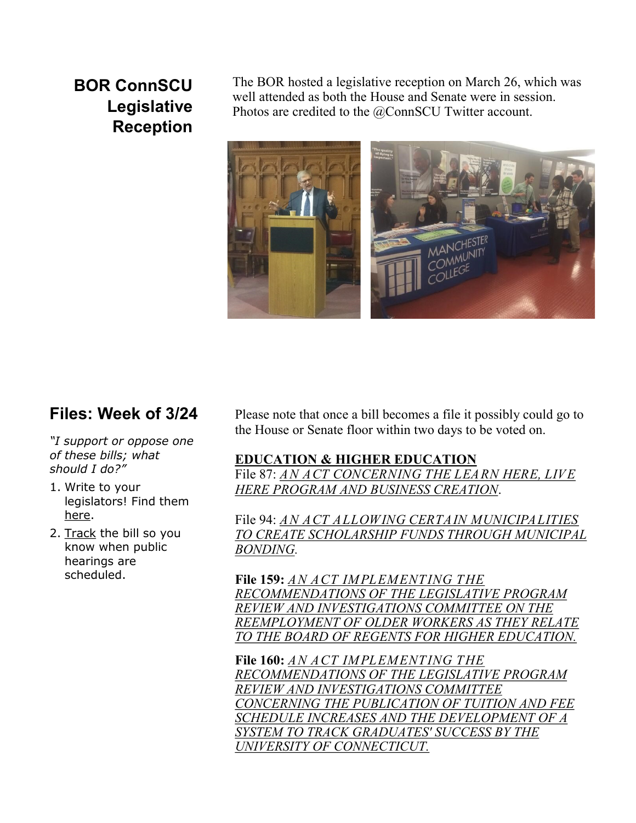# **BOR ConnSCU Legislative Reception**

The BOR hosted a legislative reception on March 26, which was well attended as both the House and Senate were in session. Photos are credited to the @ConnSCU Twitter account.



#### **Files: Week of 3/24**

*"I support or oppose one of these bills; what should I do?"*

- 1. Write to your legislators! Find them [here.](http://www.cga.ct.gov/asp/menu/CGAFindLeg.asp)
- 2. [Track](http://www.cga.ct.gov/aspx/CGAPublicBillTrack/Register.aspx) the bill so you know when public hearings are scheduled.

Please note that once a bill becomes a file it possibly could go to the House or Senate floor within two days to be voted on.

#### **EDUCATION & HIGHER EDUCATION**

File 87: *[AN ACT CONCERNING THE LEARN HERE, LIVE](http://www.cga.ct.gov/asp/cgabillstatus/cgabillstatus.asp?selBillType=File+Copy&bill_num=87&which_year=2014&SUBMIT1.x=0&SUBMIT1.y=0&SUBMIT1=Normal)  [HERE PROGRAM AND BUSINESS CREATION](http://www.cga.ct.gov/asp/cgabillstatus/cgabillstatus.asp?selBillType=File+Copy&bill_num=87&which_year=2014&SUBMIT1.x=0&SUBMIT1.y=0&SUBMIT1=Normal)*.

File 94: *[AN ACT ALLOWING CERTAIN MUNICIPALITIES](http://www.cga.ct.gov/asp/cgabillstatus/cgabillstatus.asp?selBillType=File+Copy&bill_num=94&which_year=2014&SUBMIT1.x=0&SUBMIT1.y=0&SUBMIT1=Normal)  [TO CREATE SCHOLARSHIP FUNDS THROUGH MUNICIPAL](http://www.cga.ct.gov/asp/cgabillstatus/cgabillstatus.asp?selBillType=File+Copy&bill_num=94&which_year=2014&SUBMIT1.x=0&SUBMIT1.y=0&SUBMIT1=Normal)  [BONDING.](http://www.cga.ct.gov/asp/cgabillstatus/cgabillstatus.asp?selBillType=File+Copy&bill_num=94&which_year=2014&SUBMIT1.x=0&SUBMIT1.y=0&SUBMIT1=Normal)*

**File 159:** *[AN ACT IMPLEMENTING THE](http://www.cga.ct.gov/asp/cgabillstatus/cgabillstatus.asp?selBillType=File+Copy&bill_num=159&which_year=2014&SUBMIT1.x=0&SUBMIT1.y=0&SUBMIT1=Normal)  [RECOMMENDATIONS OF THE LEGISLATIVE PROGRAM](http://www.cga.ct.gov/asp/cgabillstatus/cgabillstatus.asp?selBillType=File+Copy&bill_num=159&which_year=2014&SUBMIT1.x=0&SUBMIT1.y=0&SUBMIT1=Normal)  [REVIEW AND INVESTIGATIONS COMMITTEE ON THE](http://www.cga.ct.gov/asp/cgabillstatus/cgabillstatus.asp?selBillType=File+Copy&bill_num=159&which_year=2014&SUBMIT1.x=0&SUBMIT1.y=0&SUBMIT1=Normal)  [REEMPLOYMENT OF OLDER WORKERS AS THEY RELATE](http://www.cga.ct.gov/asp/cgabillstatus/cgabillstatus.asp?selBillType=File+Copy&bill_num=159&which_year=2014&SUBMIT1.x=0&SUBMIT1.y=0&SUBMIT1=Normal)  [TO THE BOARD OF REGENTS FOR HIGHER EDUCATION.](http://www.cga.ct.gov/asp/cgabillstatus/cgabillstatus.asp?selBillType=File+Copy&bill_num=159&which_year=2014&SUBMIT1.x=0&SUBMIT1.y=0&SUBMIT1=Normal)*

**File 160:** *[AN ACT IMPLEMENTING THE](http://www.cga.ct.gov/asp/cgabillstatus/cgabillstatus.asp?selBillType=File+Copy&bill_num=160&which_year=2014&SUBMIT1.x=15&SUBMIT1.y=11&SUBMIT1=Normal)  [RECOMMENDATIONS OF THE LEGISLATIVE PROGRAM](http://www.cga.ct.gov/asp/cgabillstatus/cgabillstatus.asp?selBillType=File+Copy&bill_num=160&which_year=2014&SUBMIT1.x=15&SUBMIT1.y=11&SUBMIT1=Normal)  [REVIEW AND INVESTIGATIONS COMMITTEE](http://www.cga.ct.gov/asp/cgabillstatus/cgabillstatus.asp?selBillType=File+Copy&bill_num=160&which_year=2014&SUBMIT1.x=15&SUBMIT1.y=11&SUBMIT1=Normal)  [CONCERNING THE PUBLICATION OF TUITION AND FEE](http://www.cga.ct.gov/asp/cgabillstatus/cgabillstatus.asp?selBillType=File+Copy&bill_num=160&which_year=2014&SUBMIT1.x=15&SUBMIT1.y=11&SUBMIT1=Normal)  [SCHEDULE INCREASES AND THE DEVELOPMENT OF A](http://www.cga.ct.gov/asp/cgabillstatus/cgabillstatus.asp?selBillType=File+Copy&bill_num=160&which_year=2014&SUBMIT1.x=15&SUBMIT1.y=11&SUBMIT1=Normal)  [SYSTEM TO TRACK GRADUATES' SUCCESS BY THE](http://www.cga.ct.gov/asp/cgabillstatus/cgabillstatus.asp?selBillType=File+Copy&bill_num=160&which_year=2014&SUBMIT1.x=15&SUBMIT1.y=11&SUBMIT1=Normal)  [UNIVERSITY OF CONNECTICUT.](http://www.cga.ct.gov/asp/cgabillstatus/cgabillstatus.asp?selBillType=File+Copy&bill_num=160&which_year=2014&SUBMIT1.x=15&SUBMIT1.y=11&SUBMIT1=Normal)*